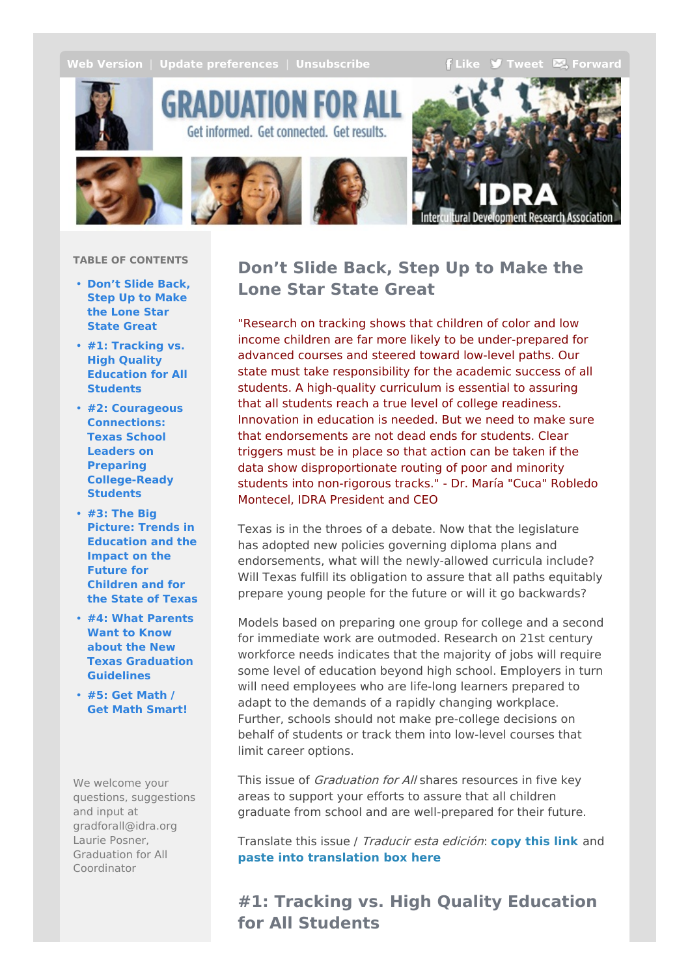<span id="page-0-0"></span>**Web [Version](http://idra.createsend1.com/t/r-e-nduca-l-r/)** | **Update** [preferences](http://idra.updatemyprofile.com/r-l-2AD73FFF-l-y) | **[Unsubscribe](http://idra.createsend1.com/t/r-u-nduca-l-j/) f [Like](/t/r-fb-nduca-l-i/?act=wv) J** [Tweet](http://idra.createsend1.com/t/r-tw-nduca-l-h/)  $\mathbb{Z}_2$  [Forward](http://idra.forwardtomyfriend.com/r-l-2AD73FFF-nduca-l-u)



GRADUATION FOR A Get informed. Get connected. Get results.





### **TABLE OF CONTENTS**

- **Don't Slide Back, Step Up to Make the Lone Star State [Great](#page-0-0)**
- **#1: Tracking vs. High Quality [Education](#page-0-0) for All Students**
- **#2: Courageous Connections: Texas School Leaders on Preparing [College-Ready](#page-0-0) Students**
- **#3: The Big Picture: Trends in [Education](#page-0-0) and the Impact on the Future for Children and for the State of Texas**
- **#4: What Parents Want to Know about the New Texas [Graduation](#page-0-0) Guidelines**
- **#5: Get Math / Get Math [Smart!](#page-0-0)**

We welcome your questions, suggestions and input at gradforall@idra.org Laurie Posner, Graduation for All Coordinator

# **Don't Slide Back, Step Up to Make the Lone Star State Great**

"Research on tracking shows that children of color and low income children are far more likely to be under-prepared for advanced courses and steered toward low-level paths. Our state must take responsibility for the academic success of all students. A high-quality curriculum is essential to assuring that all students reach a true level of college readiness. Innovation in education is needed. But we need to make sure that endorsements are not dead ends for students. Clear triggers must be in place so that action can be taken if the data show disproportionate routing of poor and minority students into non-rigorous tracks." - Dr. María "Cuca" Robledo Montecel, IDRA President and CEO

Texas is in the throes of a debate. Now that the legislature has adopted new policies governing diploma plans and endorsements, what will the newly-allowed curricula include? Will Texas fulfill its obligation to assure that all paths equitably prepare young people for the future or will it go backwards?

Models based on preparing one group for college and a second for immediate work are outmoded. Research on 21st century workforce needs indicates that the majority of jobs will require some level of education beyond high school. Employers in turn will need employees who are life-long learners prepared to adapt to the demands of a rapidly changing workplace. Further, schools should not make pre-college decisions on behalf of students or track them into low-level courses that limit career options.

This issue of *Graduation for All* shares resources in five key areas to support your efforts to assure that all children graduate from school and are well-prepared for their future.

Translate this issue / Traducir esta edición: **[copy](http://idra.createsend1.com/t/r-l-nduca-l-e/) this link** and **paste into [translation](http://idra.createsend1.com/t/r-l-nduca-l-s/) box here**

**#1: Tracking vs. High Quality Education for All Students**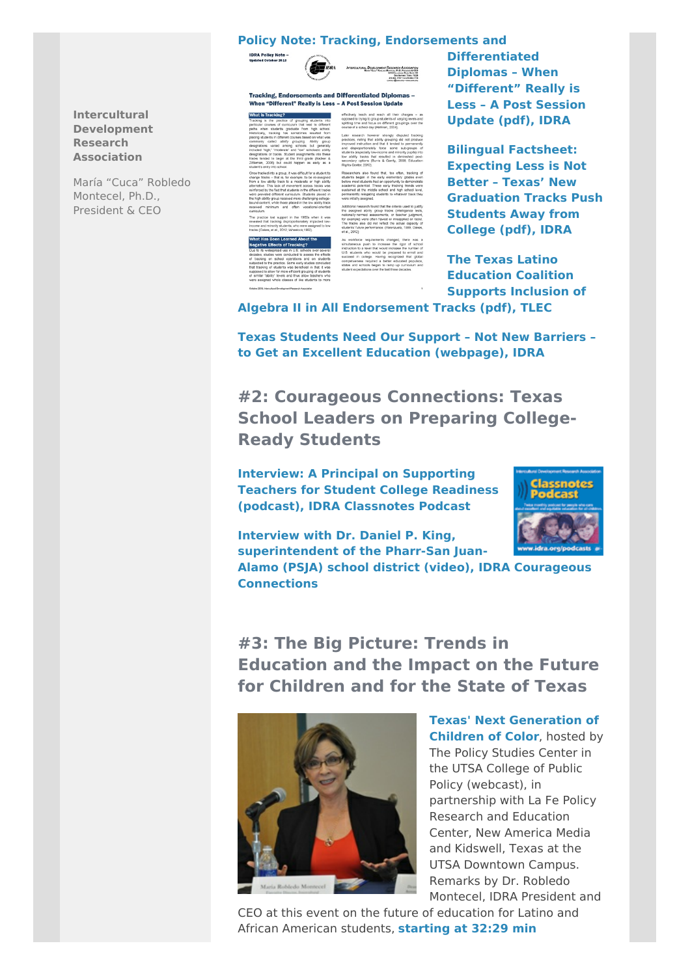### **Policy Note: Tracking, [Endorsements](http://idra.createsend1.com/t/r-l-nduca-l-g/) and**



Tracking, Endorsements and Differentiated Diplomas -When "Different" Really is Less - A Post Session Undate

**What is Tracking?** П

**Differentiated Diplomas – When "Different" Really is Less – A Post Session Update (pdf), IDRA**

**Bilingual Factsheet: Expecting Less is Not Better – Texas' New [Graduation](http://idra.createsend1.com/t/r-l-nduca-l-w/) Tracks Push Students Away from College (pdf), IDRA**

**The Texas Latino Education Coalition Supports Inclusion of**

**Algebra II in All [Endorsement](http://idra.createsend1.com/t/r-l-nduca-l-yd/) Tracks (pdf), TLEC**

**Texas Students Need Our Support – Not New Barriers – to Get an Excellent Education [\(webpage\),](http://idra.createsend1.com/t/r-l-nduca-l-yh/) IDRA**

**#2: Courageous Connections: Texas School Leaders on Preparing College-Ready Students**

**Interview: A Principal on [Supporting](http://idra.createsend1.com/t/r-l-nduca-l-yk/) Teachers for Student College Readiness (podcast), IDRA Classnotes Podcast**

**Interview with Dr. Daniel P. King, [superintendent](http://idra.createsend1.com/t/r-l-nduca-l-yu/) of the Pharr-San Juan-**



**Alamo (PSJA) school district (video), IDRA Courageous Connections**

**#3: The Big Picture: Trends in Education and the Impact on the Future for Children and for the State of Texas**



**Texas' Next [Generation](http://idra.createsend1.com/t/r-l-nduca-l-jl/) of Children of Color**, hosted by The Policy Studies Center in the UTSA College of Public Policy (webcast), in partnership with La Fe Policy Research and Education Center, New America Media and Kidswell, Texas at the UTSA Downtown Campus. Remarks by Dr. Robledo Montecel, IDRA President and

CEO at this event on the future of education for Latino and African [American](http://idra.createsend1.com/t/r-l-nduca-l-jr/) students, **starting at 32:29 min**

### **Intercultural Development Research Association**

María "Cuca" Robledo Montecel, Ph.D., President & CEO